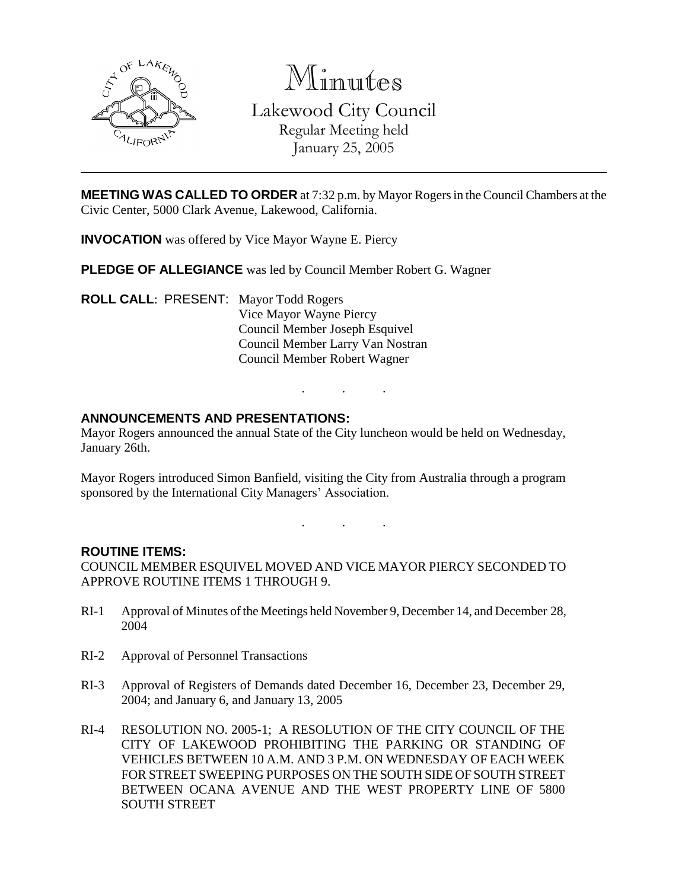

Minutes

Lakewood City Council Regular Meeting held January 25, 2005

**MEETING WAS CALLED TO ORDER** at 7:32 p.m. by Mayor Rogers in the Council Chambers at the Civic Center, 5000 Clark Avenue, Lakewood, California.

**INVOCATION** was offered by Vice Mayor Wayne E. Piercy

**PLEDGE OF ALLEGIANCE** was led by Council Member Robert G. Wagner

**ROLL CALL**: PRESENT: Mayor Todd Rogers Vice Mayor Wayne Piercy Council Member Joseph Esquivel Council Member Larry Van Nostran Council Member Robert Wagner

## **ANNOUNCEMENTS AND PRESENTATIONS:**

Mayor Rogers announced the annual State of the City luncheon would be held on Wednesday, January 26th.

Mayor Rogers introduced Simon Banfield, visiting the City from Australia through a program sponsored by the International City Managers' Association.

. . .

. . .

#### **ROUTINE ITEMS:**

COUNCIL MEMBER ESQUIVEL MOVED AND VICE MAYOR PIERCY SECONDED TO APPROVE ROUTINE ITEMS 1 THROUGH 9.

- RI-1 Approval of Minutes of the Meetings held November 9, December 14, and December 28, 2004
- RI-2 Approval of Personnel Transactions
- RI-3 Approval of Registers of Demands dated December 16, December 23, December 29, 2004; and January 6, and January 13, 2005
- RI-4 RESOLUTION NO. 2005-1; A RESOLUTION OF THE CITY COUNCIL OF THE CITY OF LAKEWOOD PROHIBITING THE PARKING OR STANDING OF VEHICLES BETWEEN 10 A.M. AND 3 P.M. ON WEDNESDAY OF EACH WEEK FOR STREET SWEEPING PURPOSES ON THE SOUTH SIDE OF SOUTH STREET BETWEEN OCANA AVENUE AND THE WEST PROPERTY LINE OF 5800 SOUTH STREET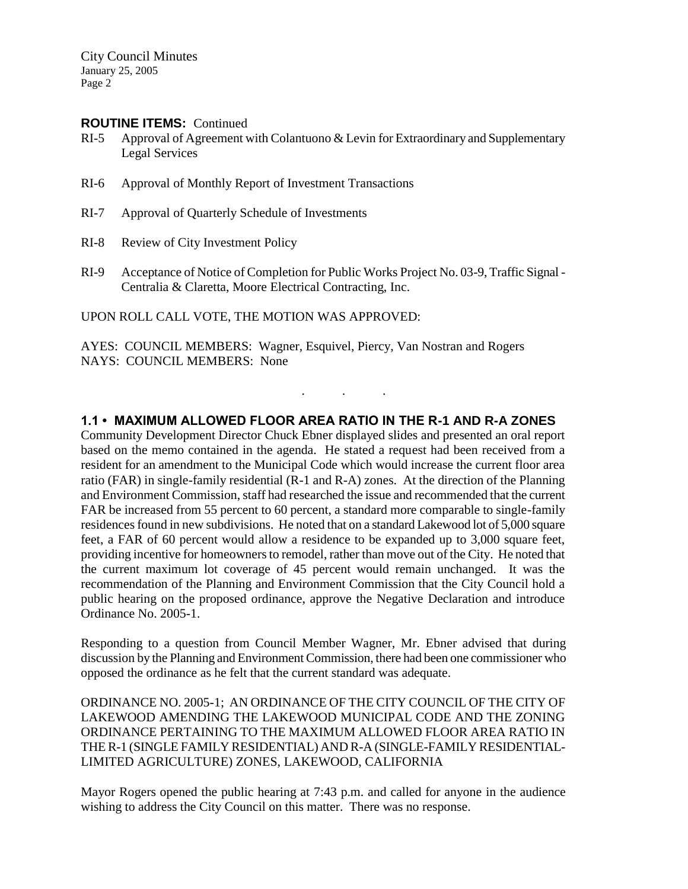City Council Minutes January 25, 2005 Page 2

#### **ROUTINE ITEMS:** Continued

- RI-5 Approval of Agreement with Colantuono & Levin for Extraordinary and Supplementary Legal Services
- RI-6 Approval of Monthly Report of Investment Transactions
- RI-7 Approval of Quarterly Schedule of Investments
- RI-8 Review of City Investment Policy
- RI-9 Acceptance of Notice of Completion for Public Works Project No. 03-9, Traffic Signal Centralia & Claretta, Moore Electrical Contracting, Inc.

UPON ROLL CALL VOTE, THE MOTION WAS APPROVED:

AYES: COUNCIL MEMBERS: Wagner, Esquivel, Piercy, Van Nostran and Rogers NAYS: COUNCIL MEMBERS: None

### **1.1 • MAXIMUM ALLOWED FLOOR AREA RATIO IN THE R-1 AND R-A ZONES**

. . .

Community Development Director Chuck Ebner displayed slides and presented an oral report based on the memo contained in the agenda. He stated a request had been received from a resident for an amendment to the Municipal Code which would increase the current floor area ratio (FAR) in single-family residential (R-1 and R-A) zones. At the direction of the Planning and Environment Commission, staff had researched the issue and recommended that the current FAR be increased from 55 percent to 60 percent, a standard more comparable to single-family residences found in new subdivisions. He noted that on a standard Lakewood lot of 5,000 square feet, a FAR of 60 percent would allow a residence to be expanded up to 3,000 square feet, providing incentive for homeowners to remodel, rather than move out of the City. He noted that the current maximum lot coverage of 45 percent would remain unchanged. It was the recommendation of the Planning and Environment Commission that the City Council hold a public hearing on the proposed ordinance, approve the Negative Declaration and introduce Ordinance No. 2005-1.

Responding to a question from Council Member Wagner, Mr. Ebner advised that during discussion by the Planning and Environment Commission, there had been one commissioner who opposed the ordinance as he felt that the current standard was adequate.

ORDINANCE NO. 2005-1; AN ORDINANCE OF THE CITY COUNCIL OF THE CITY OF LAKEWOOD AMENDING THE LAKEWOOD MUNICIPAL CODE AND THE ZONING ORDINANCE PERTAINING TO THE MAXIMUM ALLOWED FLOOR AREA RATIO IN THE R-1 (SINGLE FAMILY RESIDENTIAL) AND R-A (SINGLE-FAMILY RESIDENTIAL-LIMITED AGRICULTURE) ZONES, LAKEWOOD, CALIFORNIA

Mayor Rogers opened the public hearing at 7:43 p.m. and called for anyone in the audience wishing to address the City Council on this matter. There was no response.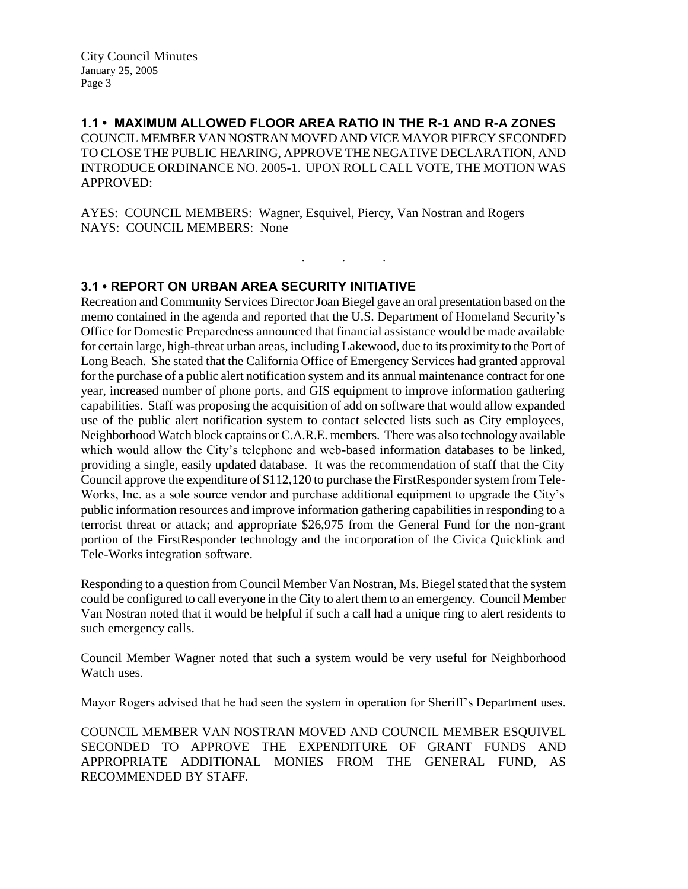City Council Minutes January 25, 2005 Page 3

**1.1 • MAXIMUM ALLOWED FLOOR AREA RATIO IN THE R-1 AND R-A ZONES** COUNCIL MEMBER VAN NOSTRAN MOVED AND VICE MAYOR PIERCY SECONDED TO CLOSE THE PUBLIC HEARING, APPROVE THE NEGATIVE DECLARATION, AND INTRODUCE ORDINANCE NO. 2005-1. UPON ROLL CALL VOTE, THE MOTION WAS APPROVED:

. . .

AYES: COUNCIL MEMBERS: Wagner, Esquivel, Piercy, Van Nostran and Rogers NAYS: COUNCIL MEMBERS: None

### **3.1 • REPORT ON URBAN AREA SECURITY INITIATIVE**

Recreation and Community Services Director Joan Biegel gave an oral presentation based on the memo contained in the agenda and reported that the U.S. Department of Homeland Security's Office for Domestic Preparedness announced that financial assistance would be made available for certain large, high-threat urban areas, including Lakewood, due to its proximity to the Port of Long Beach. She stated that the California Office of Emergency Services had granted approval for the purchase of a public alert notification system and its annual maintenance contract for one year, increased number of phone ports, and GIS equipment to improve information gathering capabilities. Staff was proposing the acquisition of add on software that would allow expanded use of the public alert notification system to contact selected lists such as City employees, Neighborhood Watch block captains or C.A.R.E. members. There was also technology available which would allow the City's telephone and web-based information databases to be linked, providing a single, easily updated database. It was the recommendation of staff that the City Council approve the expenditure of \$112,120 to purchase the FirstResponder system from Tele-Works, Inc. as a sole source vendor and purchase additional equipment to upgrade the City's public information resources and improve information gathering capabilities in responding to a terrorist threat or attack; and appropriate \$26,975 from the General Fund for the non-grant portion of the FirstResponder technology and the incorporation of the Civica Quicklink and Tele-Works integration software.

Responding to a question from Council Member Van Nostran, Ms. Biegel stated that the system could be configured to call everyone in the City to alert them to an emergency. Council Member Van Nostran noted that it would be helpful if such a call had a unique ring to alert residents to such emergency calls.

Council Member Wagner noted that such a system would be very useful for Neighborhood Watch uses.

Mayor Rogers advised that he had seen the system in operation for Sheriff's Department uses.

COUNCIL MEMBER VAN NOSTRAN MOVED AND COUNCIL MEMBER ESQUIVEL SECONDED TO APPROVE THE EXPENDITURE OF GRANT FUNDS AND APPROPRIATE ADDITIONAL MONIES FROM THE GENERAL FUND, AS RECOMMENDED BY STAFF.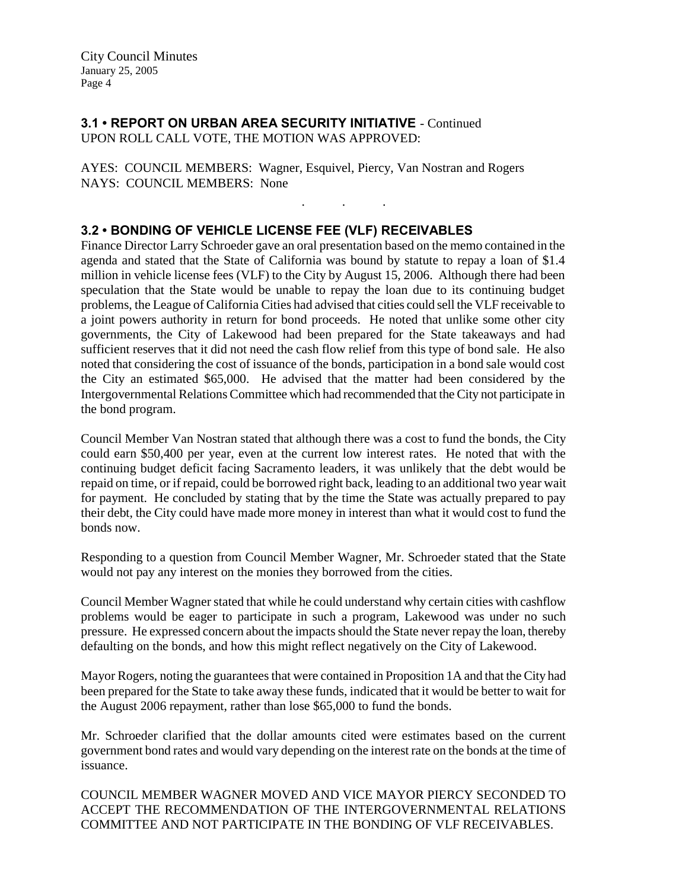# **3.1 • REPORT ON URBAN AREA SECURITY INITIATIVE** - Continued UPON ROLL CALL VOTE, THE MOTION WAS APPROVED:

AYES: COUNCIL MEMBERS: Wagner, Esquivel, Piercy, Van Nostran and Rogers NAYS: COUNCIL MEMBERS: None

# **3.2 • BONDING OF VEHICLE LICENSE FEE (VLF) RECEIVABLES**

Finance Director Larry Schroeder gave an oral presentation based on the memo contained in the agenda and stated that the State of California was bound by statute to repay a loan of \$1.4 million in vehicle license fees (VLF) to the City by August 15, 2006. Although there had been speculation that the State would be unable to repay the loan due to its continuing budget problems, the League of California Cities had advised that cities could sell the VLF receivable to a joint powers authority in return for bond proceeds. He noted that unlike some other city governments, the City of Lakewood had been prepared for the State takeaways and had sufficient reserves that it did not need the cash flow relief from this type of bond sale. He also noted that considering the cost of issuance of the bonds, participation in a bond sale would cost the City an estimated \$65,000. He advised that the matter had been considered by the Intergovernmental Relations Committee which had recommended that the City not participate in the bond program.

. . .

Council Member Van Nostran stated that although there was a cost to fund the bonds, the City could earn \$50,400 per year, even at the current low interest rates. He noted that with the continuing budget deficit facing Sacramento leaders, it was unlikely that the debt would be repaid on time, or if repaid, could be borrowed right back, leading to an additional two year wait for payment. He concluded by stating that by the time the State was actually prepared to pay their debt, the City could have made more money in interest than what it would cost to fund the bonds now.

Responding to a question from Council Member Wagner, Mr. Schroeder stated that the State would not pay any interest on the monies they borrowed from the cities.

Council Member Wagner stated that while he could understand why certain cities with cashflow problems would be eager to participate in such a program, Lakewood was under no such pressure. He expressed concern about the impacts should the State never repay the loan, thereby defaulting on the bonds, and how this might reflect negatively on the City of Lakewood.

Mayor Rogers, noting the guarantees that were contained in Proposition 1A and that the City had been prepared for the State to take away these funds, indicated that it would be better to wait for the August 2006 repayment, rather than lose \$65,000 to fund the bonds.

Mr. Schroeder clarified that the dollar amounts cited were estimates based on the current government bond rates and would vary depending on the interest rate on the bonds at the time of issuance.

COUNCIL MEMBER WAGNER MOVED AND VICE MAYOR PIERCY SECONDED TO ACCEPT THE RECOMMENDATION OF THE INTERGOVERNMENTAL RELATIONS COMMITTEE AND NOT PARTICIPATE IN THE BONDING OF VLF RECEIVABLES.